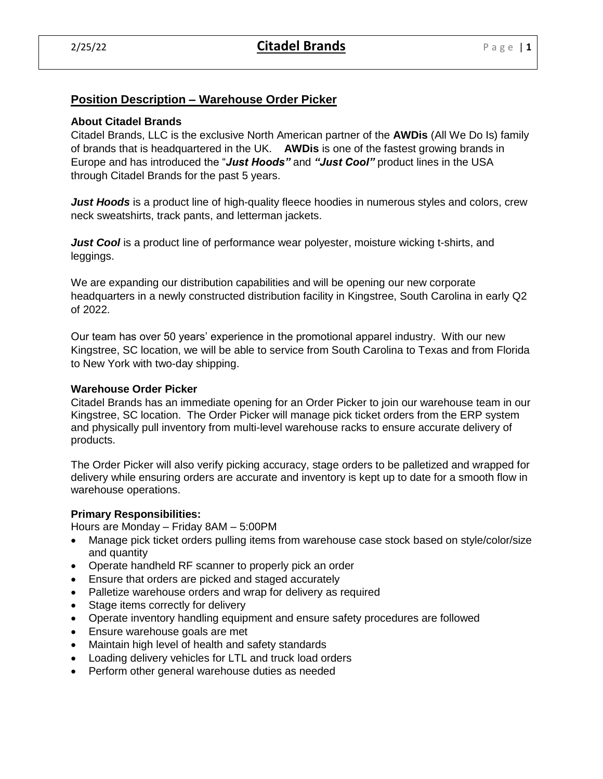# **Position Description – Warehouse Order Picker**

## **About Citadel Brands**

Citadel Brands, LLC is the exclusive North American partner of the **AWDis** (All We Do Is) family of brands that is headquartered in the UK. **AWDis** is one of the fastest growing brands in Europe and has introduced the "*Just Hoods"* and *"Just Cool"* product lines in the USA through Citadel Brands for the past 5 years.

*Just Hoods* is a product line of high-quality fleece hoodies in numerous styles and colors, crew neck sweatshirts, track pants, and letterman jackets.

*Just Cool* is a product line of performance wear polyester, moisture wicking t-shirts, and leggings.

We are expanding our distribution capabilities and will be opening our new corporate headquarters in a newly constructed distribution facility in Kingstree, South Carolina in early Q2 of 2022.

Our team has over 50 years' experience in the promotional apparel industry. With our new Kingstree, SC location, we will be able to service from South Carolina to Texas and from Florida to New York with two-day shipping.

## **Warehouse Order Picker**

Citadel Brands has an immediate opening for an Order Picker to join our warehouse team in our Kingstree, SC location. The Order Picker will manage pick ticket orders from the ERP system and physically pull inventory from multi-level warehouse racks to ensure accurate delivery of products.

The Order Picker will also verify picking accuracy, stage orders to be palletized and wrapped for delivery while ensuring orders are accurate and inventory is kept up to date for a smooth flow in warehouse operations.

## **Primary Responsibilities:**

Hours are Monday – Friday 8AM – 5:00PM

- Manage pick ticket orders pulling items from warehouse case stock based on style/color/size and quantity
- Operate handheld RF scanner to properly pick an order
- Ensure that orders are picked and staged accurately
- Palletize warehouse orders and wrap for delivery as required
- Stage items correctly for delivery
- Operate inventory handling equipment and ensure safety procedures are followed
- Ensure warehouse goals are met
- Maintain high level of health and safety standards
- Loading delivery vehicles for LTL and truck load orders
- Perform other general warehouse duties as needed